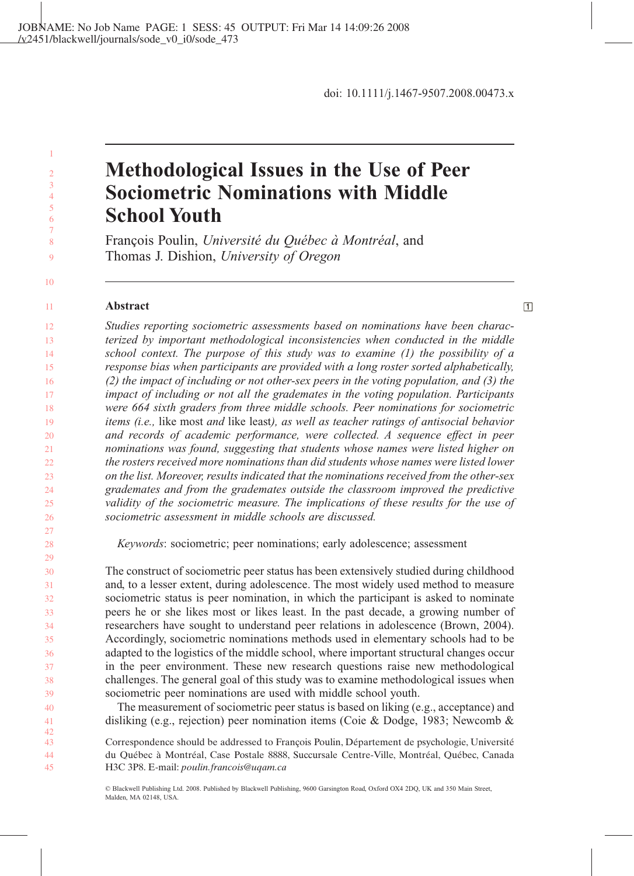doi: 10.1111/j.1467-9507.2008.00473.x

# **Methodological Issues in the Use of Peer Sociometric Nominations with Middle School Youth**

François Poulin, *Université du Québec à Montréal*, and Thomas J. Dishion, *University of Oregon*

#### **Abstract**

10

1**1**

*Studies reporting sociometric assessments based on nominations have been characterized by important methodological inconsistencies when conducted in the middle school context. The purpose of this study was to examine (1) the possibility of a response bias when participants are provided with a long roster sorted alphabetically, (2) the impact of including or not other-sex peers in the voting population, and (3) the impact of including or not all the grademates in the voting population. Participants were 664 sixth graders from three middle schools. Peer nominations for sociometric items (i.e.,* like most *and* like least*), as well as teacher ratings of antisocial behavior and records of academic performance, were collected. A sequence effect in peer nominations was found, suggesting that students whose names were listed higher on the rosters received more nominations than did students whose names were listed lower on the list. Moreover, results indicated that the nominations received from the other-sex grademates and from the grademates outside the classroom improved the predictive validity of the sociometric measure. The implications of these results for the use of sociometric assessment in middle schools are discussed.*

*Keywords*: sociometric; peer nominations; early adolescence; assessment

The construct of sociometric peer status has been extensively studied during childhood and, to a lesser extent, during adolescence. The most widely used method to measure sociometric status is peer nomination, in which the participant is asked to nominate peers he or she likes most or likes least. In the past decade, a growing number of researchers have sought to understand peer relations in adolescence (Brown, 2004). Accordingly, sociometric nominations methods used in elementary schools had to be adapted to the logistics of the middle school, where important structural changes occur in the peer environment. These new research questions raise new methodological challenges. The general goal of this study was to examine methodological issues when sociometric peer nominations are used with middle school youth.

The measurement of sociometric peer status is based on liking (e.g., acceptance) and disliking (e.g., rejection) peer nomination items (Coie & Dodge, 1983; Newcomb &

Correspondence should be addressed to François Poulin, Département de psychologie, Université du Québec à Montréal, Case Postale 8888, Succursale Centre-Ville, Montréal, Québec, Canada H3C 3P8. E-mail: *poulin.francois@uqam.ca*

© Blackwell Publishing Ltd. 2008. Published by Blackwell Publishing, 9600 Garsington Road, Oxford OX4 2DQ, UK and 350 Main Street, Malden, MA 02148, USA.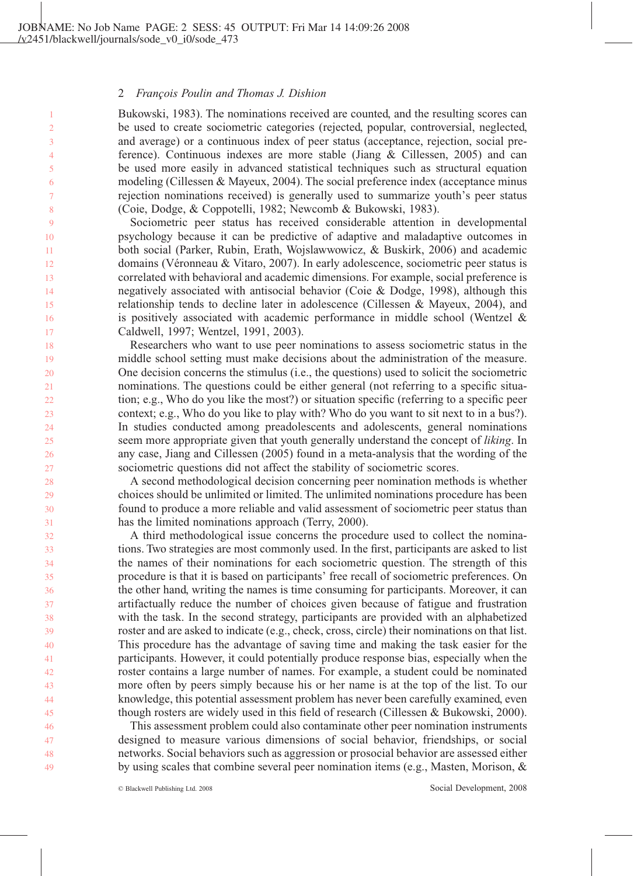Bukowski, 1983). The nominations received are counted, and the resulting scores can be used to create sociometric categories (rejected, popular, controversial, neglected, and average) or a continuous index of peer status (acceptance, rejection, social preference). Continuous indexes are more stable (Jiang & Cillessen, 2005) and can be used more easily in advanced statistical techniques such as structural equation modeling (Cillessen & Mayeux, 2004). The social preference index (acceptance minus rejection nominations received) is generally used to summarize youth's peer status (Coie, Dodge, & Coppotelli, 1982; Newcomb & Bukowski, 1983).

Sociometric peer status has received considerable attention in developmental psychology because it can be predictive of adaptive and maladaptive outcomes in both social (Parker, Rubin, Erath, Wojslawwowicz, & Buskirk, 2006) and academic domains (Véronneau & Vitaro, 2007). In early adolescence, sociometric peer status is correlated with behavioral and academic dimensions. For example, social preference is negatively associated with antisocial behavior (Coie & Dodge, 1998), although this relationship tends to decline later in adolescence (Cillessen & Mayeux, 2004), and is positively associated with academic performance in middle school (Wentzel & Caldwell, 1997; Wentzel, 1991, 2003).

Researchers who want to use peer nominations to assess sociometric status in the middle school setting must make decisions about the administration of the measure. One decision concerns the stimulus (i.e., the questions) used to solicit the sociometric nominations. The questions could be either general (not referring to a specific situation; e.g., Who do you like the most?) or situation specific (referring to a specific peer context; e.g., Who do you like to play with? Who do you want to sit next to in a bus?). In studies conducted among preadolescents and adolescents, general nominations seem more appropriate given that youth generally understand the concept of *liking*. In any case, Jiang and Cillessen (2005) found in a meta-analysis that the wording of the sociometric questions did not affect the stability of sociometric scores.

A second methodological decision concerning peer nomination methods is whether choices should be unlimited or limited. The unlimited nominations procedure has been found to produce a more reliable and valid assessment of sociometric peer status than has the limited nominations approach (Terry, 2000).

A third methodological issue concerns the procedure used to collect the nominations. Two strategies are most commonly used. In the first, participants are asked to list the names of their nominations for each sociometric question. The strength of this procedure is that it is based on participants' free recall of sociometric preferences. On the other hand, writing the names is time consuming for participants. Moreover, it can artifactually reduce the number of choices given because of fatigue and frustration with the task. In the second strategy, participants are provided with an alphabetized roster and are asked to indicate (e.g., check, cross, circle) their nominations on that list. This procedure has the advantage of saving time and making the task easier for the participants. However, it could potentially produce response bias, especially when the roster contains a large number of names. For example, a student could be nominated more often by peers simply because his or her name is at the top of the list. To our knowledge, this potential assessment problem has never been carefully examined, even though rosters are widely used in this field of research (Cillessen & Bukowski, 2000).

This assessment problem could also contaminate other peer nomination instruments designed to measure various dimensions of social behavior, friendships, or social networks. Social behaviors such as aggression or prosocial behavior are assessed either by using scales that combine several peer nomination items (e.g., Masten, Morison, &

30 31 32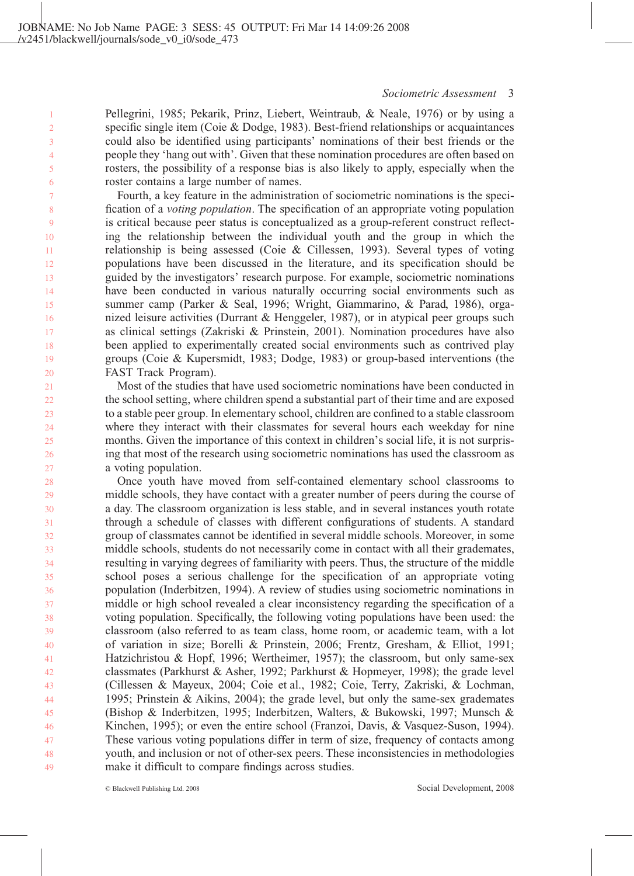## *Sociometric Assessment* 3

Pellegrini, 1985; Pekarik, Prinz, Liebert, Weintraub, & Neale, 1976) or by using a specific single item (Coie & Dodge, 1983). Best-friend relationships or acquaintances could also be identified using participants' nominations of their best friends or the people they 'hang out with'. Given that these nomination procedures are often based on rosters, the possibility of a response bias is also likely to apply, especially when the roster contains a large number of names.

Fourth, a key feature in the administration of sociometric nominations is the specification of a *voting population*. The specification of an appropriate voting population is critical because peer status is conceptualized as a group-referent construct reflecting the relationship between the individual youth and the group in which the relationship is being assessed (Coie & Cillessen, 1993). Several types of voting populations have been discussed in the literature, and its specification should be guided by the investigators' research purpose. For example, sociometric nominations have been conducted in various naturally occurring social environments such as summer camp (Parker & Seal, 1996; Wright, Giammarino, & Parad, 1986), organized leisure activities (Durrant & Henggeler, 1987), or in atypical peer groups such as clinical settings (Zakriski & Prinstein, 2001). Nomination procedures have also been applied to experimentally created social environments such as contrived play groups (Coie & Kupersmidt, 1983; Dodge, 1983) or group-based interventions (the FAST Track Program).

Most of the studies that have used sociometric nominations have been conducted in the school setting, where children spend a substantial part of their time and are exposed to a stable peer group. In elementary school, children are confined to a stable classroom where they interact with their classmates for several hours each weekday for nine months. Given the importance of this context in children's social life, it is not surprising that most of the research using sociometric nominations has used the classroom as a voting population.

Once youth have moved from self-contained elementary school classrooms to middle schools, they have contact with a greater number of peers during the course of a day. The classroom organization is less stable, and in several instances youth rotate through a schedule of classes with different configurations of students. A standard group of classmates cannot be identified in several middle schools. Moreover, in some middle schools, students do not necessarily come in contact with all their grademates, resulting in varying degrees of familiarity with peers. Thus, the structure of the middle school poses a serious challenge for the specification of an appropriate voting population (Inderbitzen, 1994). A review of studies using sociometric nominations in middle or high school revealed a clear inconsistency regarding the specification of a voting population. Specifically, the following voting populations have been used: the classroom (also referred to as team class, home room, or academic team, with a lot of variation in size; Borelli & Prinstein, 2006; Frentz, Gresham, & Elliot, 1991; Hatzichristou & Hopf, 1996; Wertheimer, 1957); the classroom, but only same-sex classmates (Parkhurst & Asher, 1992; Parkhurst & Hopmeyer, 1998); the grade level (Cillessen & Mayeux, 2004; Coie et al., 1982; Coie, Terry, Zakriski, & Lochman, 1995; Prinstein & Aikins, 2004); the grade level, but only the same-sex grademates (Bishop & Inderbitzen, 1995; Inderbitzen, Walters, & Bukowski, 1997; Munsch & Kinchen, 1995); or even the entire school (Franzoi, Davis, & Vasquez-Suson, 1994). These various voting populations differ in term of size, frequency of contacts among youth, and inclusion or not of other-sex peers. These inconsistencies in methodologies make it difficult to compare findings across studies.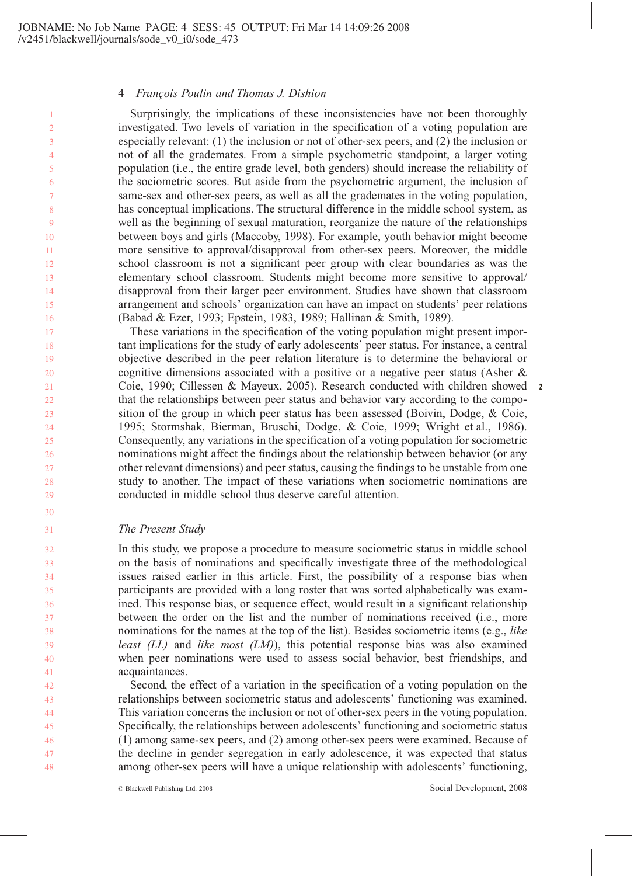Surprisingly, the implications of these inconsistencies have not been thoroughly investigated. Two levels of variation in the specification of a voting population are especially relevant: (1) the inclusion or not of other-sex peers, and (2) the inclusion or not of all the grademates. From a simple psychometric standpoint, a larger voting population (i.e., the entire grade level, both genders) should increase the reliability of the sociometric scores. But aside from the psychometric argument, the inclusion of same-sex and other-sex peers, as well as all the grademates in the voting population, has conceptual implications. The structural difference in the middle school system, as well as the beginning of sexual maturation, reorganize the nature of the relationships between boys and girls (Maccoby, 1998). For example, youth behavior might become more sensitive to approval/disapproval from other-sex peers. Moreover, the middle school classroom is not a significant peer group with clear boundaries as was the elementary school classroom. Students might become more sensitive to approval/ disapproval from their larger peer environment. Studies have shown that classroom arrangement and schools' organization can have an impact on students' peer relations (Babad & Ezer, 1993; Epstein, 1983, 1989; Hallinan & Smith, 1989).

These variations in the specification of the voting population might present important implications for the study of early adolescents' peer status. For instance, a central objective described in the peer relation literature is to determine the behavioral or cognitive dimensions associated with a positive or a negative peer status (Asher  $\&$ Coie, 1990; Cillessen & Mayeux, 2005). Research conducted with children showed 2**2** that the relationships between peer status and behavior vary according to the composition of the group in which peer status has been assessed (Boivin, Dodge, & Coie, 1995; Stormshak, Bierman, Bruschi, Dodge, & Coie, 1999; Wright et al., 1986). Consequently, any variations in the specification of a voting population for sociometric nominations might affect the findings about the relationship between behavior (or any other relevant dimensions) and peer status, causing the findings to be unstable from one study to another. The impact of these variations when sociometric nominations are conducted in middle school thus deserve careful attention.

#### *The Present Study*

In this study, we propose a procedure to measure sociometric status in middle school on the basis of nominations and specifically investigate three of the methodological issues raised earlier in this article. First, the possibility of a response bias when participants are provided with a long roster that was sorted alphabetically was examined. This response bias, or sequence effect, would result in a significant relationship between the order on the list and the number of nominations received (i.e., more nominations for the names at the top of the list). Besides sociometric items (e.g., *like least (LL)* and *like most (LM)*), this potential response bias was also examined when peer nominations were used to assess social behavior, best friendships, and acquaintances.

Second, the effect of a variation in the specification of a voting population on the relationships between sociometric status and adolescents' functioning was examined. This variation concerns the inclusion or not of other-sex peers in the voting population. Specifically, the relationships between adolescents' functioning and sociometric status (1) among same-sex peers, and (2) among other-sex peers were examined. Because of the decline in gender segregation in early adolescence, it was expected that status among other-sex peers will have a unique relationship with adolescents' functioning,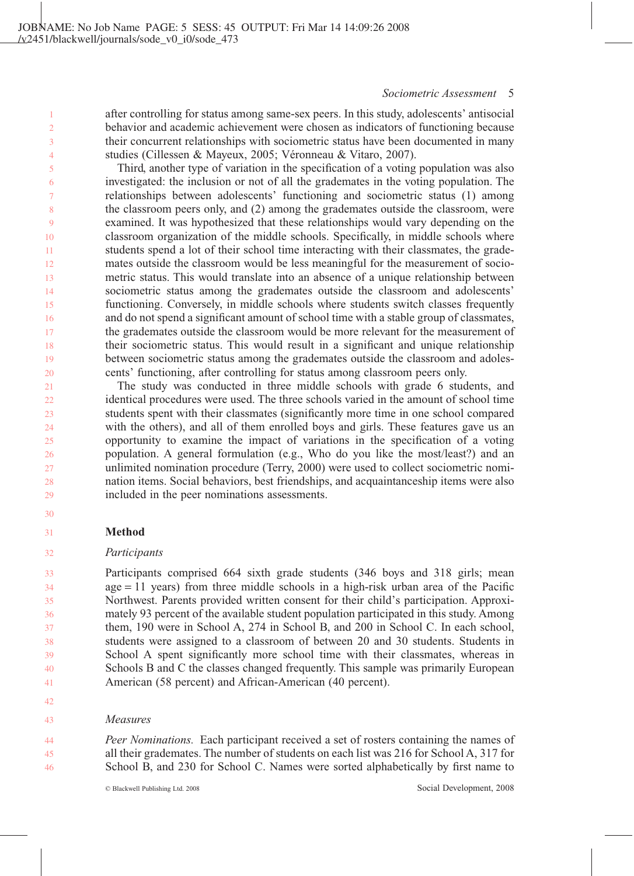## *Sociometric Assessment* 5

after controlling for status among same-sex peers. In this study, adolescents' antisocial behavior and academic achievement were chosen as indicators of functioning because their concurrent relationships with sociometric status have been documented in many studies (Cillessen & Mayeux, 2005; Véronneau & Vitaro, 2007).

Third, another type of variation in the specification of a voting population was also investigated: the inclusion or not of all the grademates in the voting population. The relationships between adolescents' functioning and sociometric status (1) among the classroom peers only, and (2) among the grademates outside the classroom, were examined. It was hypothesized that these relationships would vary depending on the classroom organization of the middle schools. Specifically, in middle schools where students spend a lot of their school time interacting with their classmates, the grademates outside the classroom would be less meaningful for the measurement of sociometric status. This would translate into an absence of a unique relationship between sociometric status among the grademates outside the classroom and adolescents' functioning. Conversely, in middle schools where students switch classes frequently and do not spend a significant amount of school time with a stable group of classmates, the grademates outside the classroom would be more relevant for the measurement of their sociometric status. This would result in a significant and unique relationship between sociometric status among the grademates outside the classroom and adolescents' functioning, after controlling for status among classroom peers only.

The study was conducted in three middle schools with grade 6 students, and identical procedures were used. The three schools varied in the amount of school time students spent with their classmates (significantly more time in one school compared with the others), and all of them enrolled boys and girls. These features gave us an opportunity to examine the impact of variations in the specification of a voting population. A general formulation (e.g., Who do you like the most/least?) and an unlimited nomination procedure (Terry, 2000) were used to collect sociometric nomination items. Social behaviors, best friendships, and acquaintanceship items were also included in the peer nominations assessments.

# **Method**

## *Participants*

Participants comprised 664 sixth grade students (346 boys and 318 girls; mean  $age = 11$  years) from three middle schools in a high-risk urban area of the Pacific Northwest. Parents provided written consent for their child's participation. Approximately 93 percent of the available student population participated in this study. Among them, 190 were in School A, 274 in School B, and 200 in School C. In each school, students were assigned to a classroom of between 20 and 30 students. Students in School A spent significantly more school time with their classmates, whereas in Schools B and C the classes changed frequently. This sample was primarily European American (58 percent) and African-American (40 percent).

41 42 43

44 45 46

*Measures*

*Peer Nominations.* Each participant received a set of rosters containing the names of all their grademates. The number of students on each list was 216 for School A, 317 for School B, and 230 for School C. Names were sorted alphabetically by first name to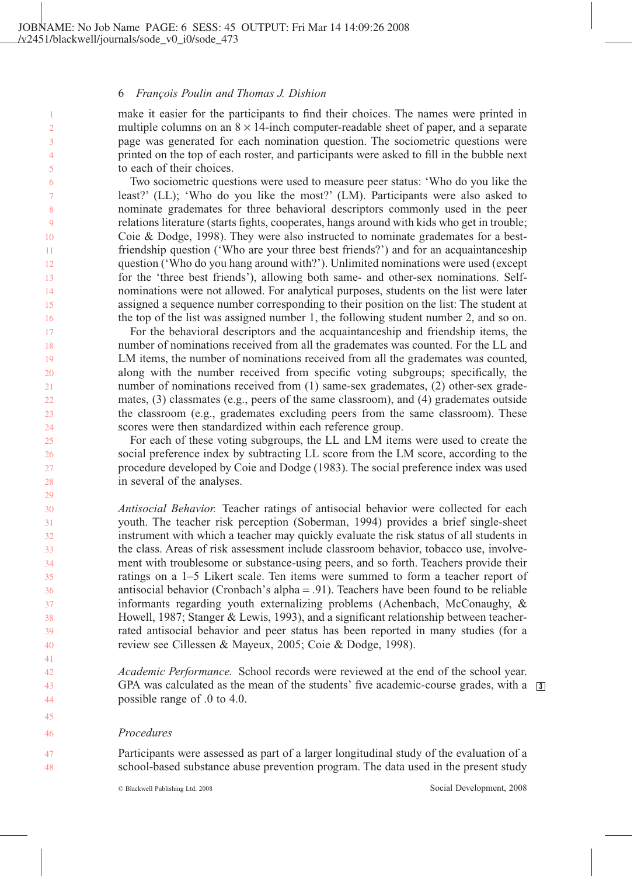make it easier for the participants to find their choices. The names were printed in multiple columns on an  $8 \times 14$ -inch computer-readable sheet of paper, and a separate page was generated for each nomination question. The sociometric questions were printed on the top of each roster, and participants were asked to fill in the bubble next to each of their choices.

Two sociometric questions were used to measure peer status: 'Who do you like the least?' (LL); 'Who do you like the most?' (LM). Participants were also asked to nominate grademates for three behavioral descriptors commonly used in the peer relations literature (starts fights, cooperates, hangs around with kids who get in trouble; Coie & Dodge, 1998). They were also instructed to nominate grademates for a bestfriendship question ('Who are your three best friends?') and for an acquaintanceship question ('Who do you hang around with?'). Unlimited nominations were used (except for the 'three best friends'), allowing both same- and other-sex nominations. Selfnominations were not allowed. For analytical purposes, students on the list were later assigned a sequence number corresponding to their position on the list: The student at the top of the list was assigned number 1, the following student number 2, and so on.

For the behavioral descriptors and the acquaintanceship and friendship items, the number of nominations received from all the grademates was counted. For the LL and LM items, the number of nominations received from all the grademates was counted, along with the number received from specific voting subgroups; specifically, the number of nominations received from (1) same-sex grademates, (2) other-sex grademates, (3) classmates (e.g., peers of the same classroom), and (4) grademates outside the classroom (e.g., grademates excluding peers from the same classroom). These scores were then standardized within each reference group.

For each of these voting subgroups, the LL and LM items were used to create the social preference index by subtracting LL score from the LM score, according to the procedure developed by Coie and Dodge (1983). The social preference index was used in several of the analyses.

*Antisocial Behavior.* Teacher ratings of antisocial behavior were collected for each youth. The teacher risk perception (Soberman, 1994) provides a brief single-sheet instrument with which a teacher may quickly evaluate the risk status of all students in the class. Areas of risk assessment include classroom behavior, tobacco use, involvement with troublesome or substance-using peers, and so forth. Teachers provide their ratings on a 1–5 Likert scale. Ten items were summed to form a teacher report of antisocial behavior (Cronbach's alpha = .91). Teachers have been found to be reliable informants regarding youth externalizing problems (Achenbach, McConaughy, & Howell, 1987; Stanger & Lewis, 1993), and a significant relationship between teacherrated antisocial behavior and peer status has been reported in many studies (for a review see Cillessen & Mayeux, 2005; Coie & Dodge, 1998).

*Academic Performance.* School records were reviewed at the end of the school year. GPA was calculated as the mean of the students' five academic-course grades, with a 3**3** possible range of .0 to 4.0.

*Procedures*

Participants were assessed as part of a larger longitudinal study of the evaluation of a school-based substance abuse prevention program. The data used in the present study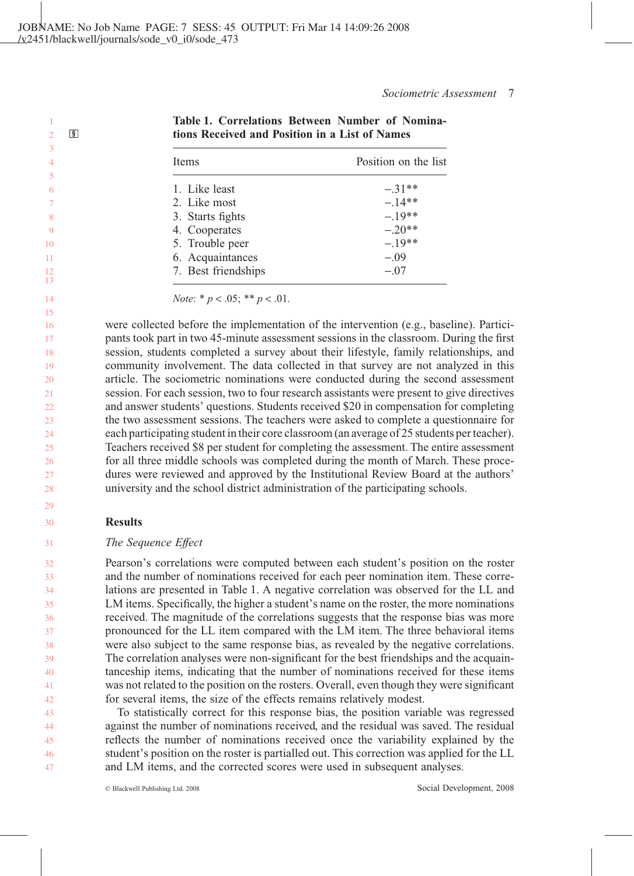### *Sociometric Assessment* 7

| Items               | Position on the list |  |  |
|---------------------|----------------------|--|--|
| 1. Like least       | $-.31**$             |  |  |
| 2. Like most        | $-.14**$             |  |  |
| 3. Starts fights    | $-.19**$             |  |  |
| 4. Cooperates       | $-.20**$             |  |  |
| 5. Trouble peer     | $-.19**$             |  |  |
| 6. Acquaintances    | $-.09$               |  |  |
| 7. Best friendships | $-.07$               |  |  |

**Table 1. Correlations Between Number of Nominations Received and Position in a List of Names**

*Note*: \* *p* < .05; \*\* *p* < .01.

were collected before the implementation of the intervention (e.g., baseline). Participants took part in two 45-minute assessment sessions in the classroom. During the first session, students completed a survey about their lifestyle, family relationships, and community involvement. The data collected in that survey are not analyzed in this article. The sociometric nominations were conducted during the second assessment session. For each session, two to four research assistants were present to give directives and answer students' questions. Students received \$20 in compensation for completing the two assessment sessions. The teachers were asked to complete a questionnaire for each participating student in their core classroom (an average of 25 students per teacher). Teachers received \$8 per student for completing the assessment. The entire assessment for all three middle schools was completed during the month of March. These procedures were reviewed and approved by the Institutional Review Board at the authors' university and the school district administration of the participating schools.

#### **Results**

**9**

#### *The Sequence Effect*

Pearson's correlations were computed between each student's position on the roster and the number of nominations received for each peer nomination item. These correlations are presented in Table 1. A negative correlation was observed for the LL and LM items. Specifically, the higher a student's name on the roster, the more nominations received. The magnitude of the correlations suggests that the response bias was more pronounced for the LL item compared with the LM item. The three behavioral items were also subject to the same response bias, as revealed by the negative correlations. The correlation analyses were non-significant for the best friendships and the acquaintanceship items, indicating that the number of nominations received for these items was not related to the position on the rosters. Overall, even though they were significant for several items, the size of the effects remains relatively modest.

To statistically correct for this response bias, the position variable was regressed against the number of nominations received, and the residual was saved. The residual reflects the number of nominations received once the variability explained by the student's position on the roster is partialled out. This correction was applied for the LL and LM items, and the corrected scores were used in subsequent analyses.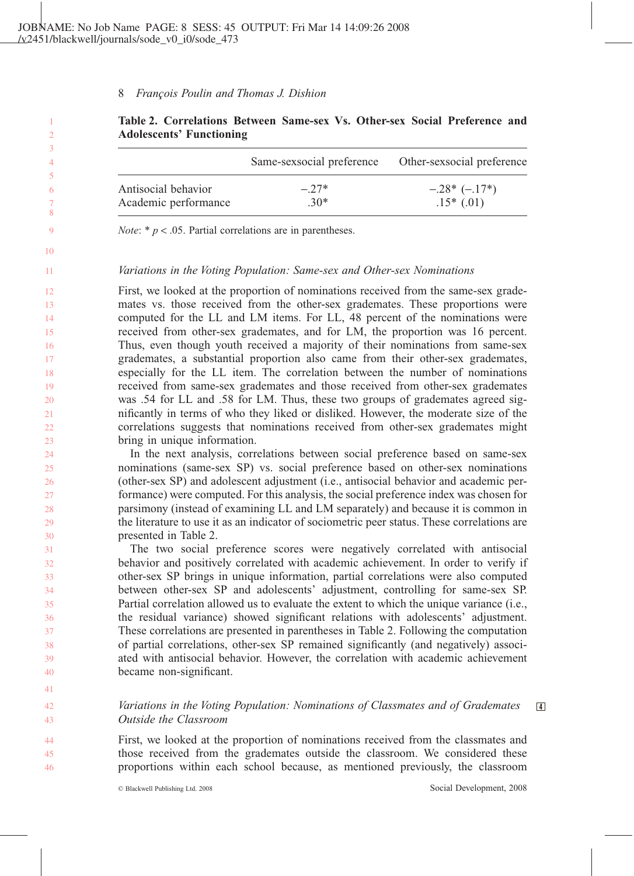## **Table 2. Correlations Between Same-sex Vs. Other-sex Social Preference and Adolescents' Functioning**

|                      | Same-sexsocial preference | Other-sexsocial preference |
|----------------------|---------------------------|----------------------------|
| Antisocial behavior  | $-.27*$                   | $-.28*(-.17*)$             |
| Academic performance | $30*$                     | $.15*(.01)$                |

*Note*: \* *p* < .05. Partial correlations are in parentheses.

#### *Variations in the Voting Population: Same-sex and Other-sex Nominations*

First, we looked at the proportion of nominations received from the same-sex grademates vs. those received from the other-sex grademates. These proportions were computed for the LL and LM items. For LL, 48 percent of the nominations were received from other-sex grademates, and for LM, the proportion was 16 percent. Thus, even though youth received a majority of their nominations from same-sex grademates, a substantial proportion also came from their other-sex grademates, especially for the LL item. The correlation between the number of nominations received from same-sex grademates and those received from other-sex grademates was .54 for LL and .58 for LM. Thus, these two groups of grademates agreed significantly in terms of who they liked or disliked. However, the moderate size of the correlations suggests that nominations received from other-sex grademates might bring in unique information.

In the next analysis, correlations between social preference based on same-sex nominations (same-sex SP) vs. social preference based on other-sex nominations (other-sex SP) and adolescent adjustment (i.e., antisocial behavior and academic performance) were computed. For this analysis, the social preference index was chosen for parsimony (instead of examining LL and LM separately) and because it is common in the literature to use it as an indicator of sociometric peer status. These correlations are presented in Table 2.

The two social preference scores were negatively correlated with antisocial behavior and positively correlated with academic achievement. In order to verify if other-sex SP brings in unique information, partial correlations were also computed between other-sex SP and adolescents' adjustment, controlling for same-sex SP. Partial correlation allowed us to evaluate the extent to which the unique variance (i.e., the residual variance) showed significant relations with adolescents' adjustment. These correlations are presented in parentheses in Table 2. Following the computation of partial correlations, other-sex SP remained significantly (and negatively) associated with antisocial behavior. However, the correlation with academic achievement became non-significant.

39 40 41

#### *Variations in the Voting Population: Nominations of Classmates and of Grademates Outside the Classroom* 4**4**

First, we looked at the proportion of nominations received from the classmates and those received from the grademates outside the classroom. We considered these proportions within each school because, as mentioned previously, the classroom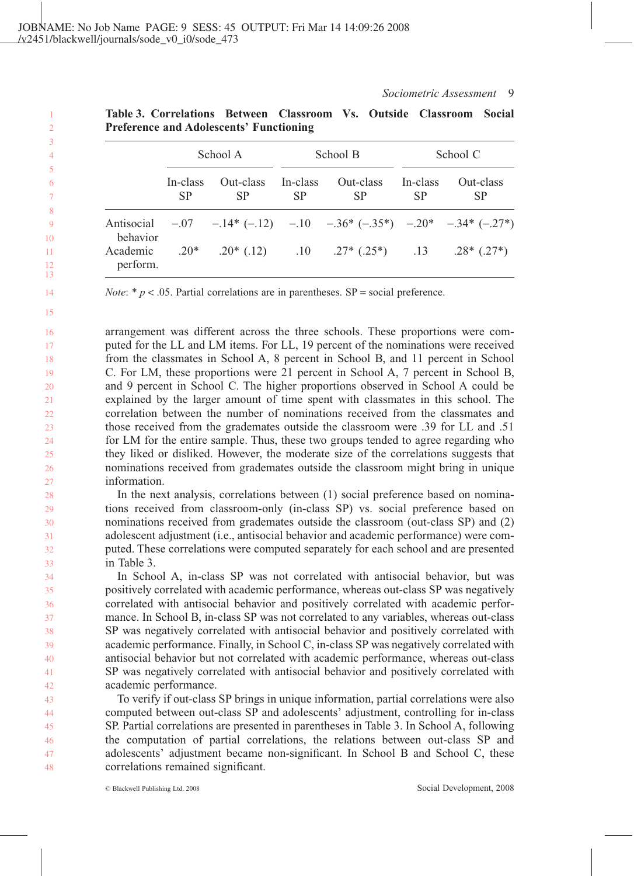#### *Sociometric Assessment* 9

|                      | School A              |                        | School B              |                                                                                                        | School C              |                        |
|----------------------|-----------------------|------------------------|-----------------------|--------------------------------------------------------------------------------------------------------|-----------------------|------------------------|
|                      | In-class<br><b>SP</b> | Out-class<br><b>SP</b> | In-class<br><b>SP</b> | Out-class<br><b>SP</b>                                                                                 | In-class<br><b>SP</b> | Out-class<br><b>SP</b> |
| behavior             |                       |                        |                       | Antisocial $-0.07$ $-14$ * (-12) $-10$ $-36$ * (-35 <sup>*</sup> ) $-20$ * $-34$ * (-27 <sup>*</sup> ) |                       |                        |
| Academic<br>perform. |                       |                        |                       | $.20^*$ $.20^*$ $(.12)$ $.10$ $.27^*$ $(.25^*)$ $.13$ $.28^*$ $(.27^*)$                                |                       |                        |

**Table 3. Correlations Between Classroom Vs. Outside Classroom Social Preference and Adolescents' Functioning**

*Note*:  $* p < .05$ . Partial correlations are in parentheses. SP = social preference.

arrangement was different across the three schools. These proportions were computed for the LL and LM items. For LL, 19 percent of the nominations were received from the classmates in School A, 8 percent in School B, and 11 percent in School C. For LM, these proportions were 21 percent in School A, 7 percent in School B, and 9 percent in School C. The higher proportions observed in School A could be explained by the larger amount of time spent with classmates in this school. The correlation between the number of nominations received from the classmates and those received from the grademates outside the classroom were .39 for LL and .51 for LM for the entire sample. Thus, these two groups tended to agree regarding who they liked or disliked. However, the moderate size of the correlations suggests that nominations received from grademates outside the classroom might bring in unique information.

In the next analysis, correlations between (1) social preference based on nominations received from classroom-only (in-class SP) vs. social preference based on nominations received from grademates outside the classroom (out-class SP) and (2) adolescent adjustment (i.e., antisocial behavior and academic performance) were computed. These correlations were computed separately for each school and are presented in Table 3.

In School A, in-class SP was not correlated with antisocial behavior, but was positively correlated with academic performance, whereas out-class SP was negatively correlated with antisocial behavior and positively correlated with academic performance. In School B, in-class SP was not correlated to any variables, whereas out-class SP was negatively correlated with antisocial behavior and positively correlated with academic performance. Finally, in School C, in-class SP was negatively correlated with antisocial behavior but not correlated with academic performance, whereas out-class SP was negatively correlated with antisocial behavior and positively correlated with academic performance.

To verify if out-class SP brings in unique information, partial correlations were also computed between out-class SP and adolescents' adjustment, controlling for in-class SP. Partial correlations are presented in parentheses in Table 3. In School A, following the computation of partial correlations, the relations between out-class SP and adolescents' adjustment became non-significant. In School B and School C, these correlations remained significant.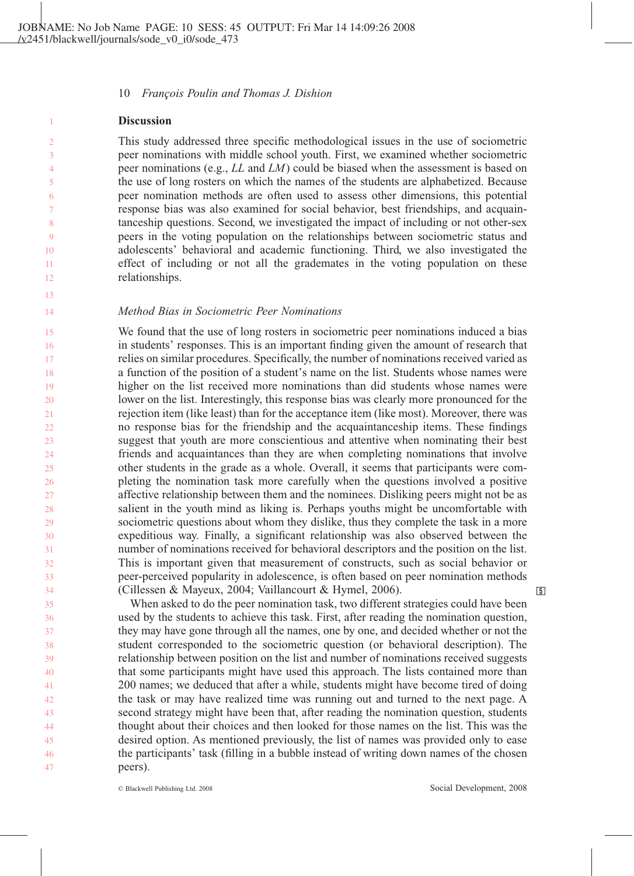#### **Discussion**

This study addressed three specific methodological issues in the use of sociometric peer nominations with middle school youth. First, we examined whether sociometric peer nominations (e.g., *LL* and *LM*) could be biased when the assessment is based on the use of long rosters on which the names of the students are alphabetized. Because peer nomination methods are often used to assess other dimensions, this potential response bias was also examined for social behavior, best friendships, and acquaintanceship questions. Second, we investigated the impact of including or not other-sex peers in the voting population on the relationships between sociometric status and adolescents' behavioral and academic functioning. Third, we also investigated the effect of including or not all the grademates in the voting population on these relationships.

#### *Method Bias in Sociometric Peer Nominations*

We found that the use of long rosters in sociometric peer nominations induced a bias in students' responses. This is an important finding given the amount of research that relies on similar procedures. Specifically, the number of nominations received varied as a function of the position of a student's name on the list. Students whose names were higher on the list received more nominations than did students whose names were lower on the list. Interestingly, this response bias was clearly more pronounced for the rejection item (like least) than for the acceptance item (like most). Moreover, there was no response bias for the friendship and the acquaintanceship items. These findings suggest that youth are more conscientious and attentive when nominating their best friends and acquaintances than they are when completing nominations that involve other students in the grade as a whole. Overall, it seems that participants were completing the nomination task more carefully when the questions involved a positive affective relationship between them and the nominees. Disliking peers might not be as salient in the youth mind as liking is. Perhaps youths might be uncomfortable with sociometric questions about whom they dislike, thus they complete the task in a more expeditious way. Finally, a significant relationship was also observed between the number of nominations received for behavioral descriptors and the position on the list. This is important given that measurement of constructs, such as social behavior or peer-perceived popularity in adolescence, is often based on peer nomination methods (Cillessen & Mayeux, 2004; Vaillancourt & Hymel, 2006).

When asked to do the peer nomination task, two different strategies could have been used by the students to achieve this task. First, after reading the nomination question, they may have gone through all the names, one by one, and decided whether or not the student corresponded to the sociometric question (or behavioral description). The relationship between position on the list and number of nominations received suggests that some participants might have used this approach. The lists contained more than 200 names; we deduced that after a while, students might have become tired of doing the task or may have realized time was running out and turned to the next page. A second strategy might have been that, after reading the nomination question, students thought about their choices and then looked for those names on the list. This was the desired option. As mentioned previously, the list of names was provided only to ease the participants' task (filling in a bubble instead of writing down names of the chosen peers).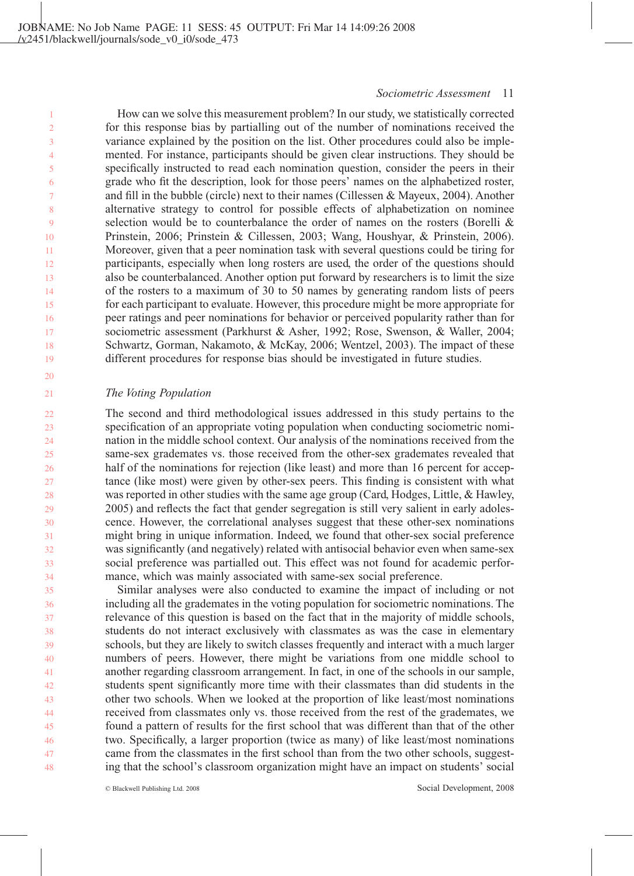## *Sociometric Assessment* 11

How can we solve this measurement problem? In our study, we statistically corrected for this response bias by partialling out of the number of nominations received the variance explained by the position on the list. Other procedures could also be implemented. For instance, participants should be given clear instructions. They should be specifically instructed to read each nomination question, consider the peers in their grade who fit the description, look for those peers' names on the alphabetized roster, and fill in the bubble (circle) next to their names (Cillessen & Mayeux, 2004). Another alternative strategy to control for possible effects of alphabetization on nominee selection would be to counterbalance the order of names on the rosters (Borelli & Prinstein, 2006; Prinstein & Cillessen, 2003; Wang, Houshyar, & Prinstein, 2006). Moreover, given that a peer nomination task with several questions could be tiring for participants, especially when long rosters are used, the order of the questions should also be counterbalanced. Another option put forward by researchers is to limit the size of the rosters to a maximum of 30 to 50 names by generating random lists of peers for each participant to evaluate. However, this procedure might be more appropriate for peer ratings and peer nominations for behavior or perceived popularity rather than for sociometric assessment (Parkhurst & Asher, 1992; Rose, Swenson, & Waller, 2004; Schwartz, Gorman, Nakamoto, & McKay, 2006; Wentzel, 2003). The impact of these different procedures for response bias should be investigated in future studies.

*The Voting Population*

The second and third methodological issues addressed in this study pertains to the specification of an appropriate voting population when conducting sociometric nomination in the middle school context. Our analysis of the nominations received from the same-sex grademates vs. those received from the other-sex grademates revealed that half of the nominations for rejection (like least) and more than 16 percent for acceptance (like most) were given by other-sex peers. This finding is consistent with what was reported in other studies with the same age group (Card, Hodges, Little, & Hawley, 2005) and reflects the fact that gender segregation is still very salient in early adolescence. However, the correlational analyses suggest that these other-sex nominations might bring in unique information. Indeed, we found that other-sex social preference was significantly (and negatively) related with antisocial behavior even when same-sex social preference was partialled out. This effect was not found for academic performance, which was mainly associated with same-sex social preference.

Similar analyses were also conducted to examine the impact of including or not including all the grademates in the voting population for sociometric nominations. The relevance of this question is based on the fact that in the majority of middle schools, students do not interact exclusively with classmates as was the case in elementary schools, but they are likely to switch classes frequently and interact with a much larger numbers of peers. However, there might be variations from one middle school to another regarding classroom arrangement. In fact, in one of the schools in our sample, students spent significantly more time with their classmates than did students in the other two schools. When we looked at the proportion of like least/most nominations received from classmates only vs. those received from the rest of the grademates, we found a pattern of results for the first school that was different than that of the other two. Specifically, a larger proportion (twice as many) of like least/most nominations came from the classmates in the first school than from the two other schools, suggesting that the school's classroom organization might have an impact on students' social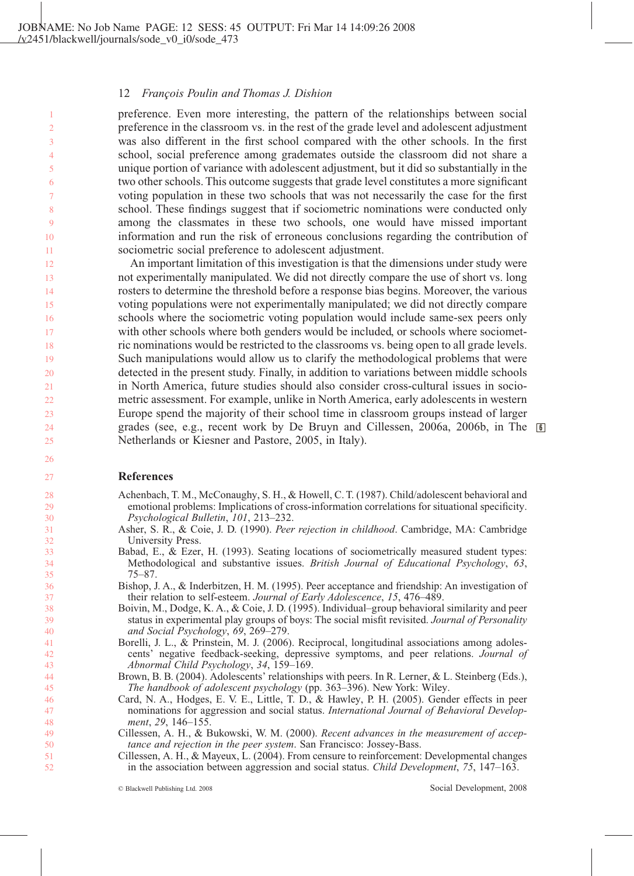preference. Even more interesting, the pattern of the relationships between social preference in the classroom vs. in the rest of the grade level and adolescent adjustment was also different in the first school compared with the other schools. In the first school, social preference among grademates outside the classroom did not share a unique portion of variance with adolescent adjustment, but it did so substantially in the two other schools. This outcome suggests that grade level constitutes a more significant voting population in these two schools that was not necessarily the case for the first school. These findings suggest that if sociometric nominations were conducted only among the classmates in these two schools, one would have missed important information and run the risk of erroneous conclusions regarding the contribution of sociometric social preference to adolescent adjustment.

An important limitation of this investigation is that the dimensions under study were not experimentally manipulated. We did not directly compare the use of short vs. long rosters to determine the threshold before a response bias begins. Moreover, the various voting populations were not experimentally manipulated; we did not directly compare schools where the sociometric voting population would include same-sex peers only with other schools where both genders would be included, or schools where sociometric nominations would be restricted to the classrooms vs. being open to all grade levels. Such manipulations would allow us to clarify the methodological problems that were detected in the present study. Finally, in addition to variations between middle schools in North America, future studies should also consider cross-cultural issues in sociometric assessment. For example, unlike in North America, early adolescents in western Europe spend the majority of their school time in classroom groups instead of larger grades (see, e.g., recent work by De Bruyn and Cillessen, 2006a, 2006b, in The 6**6** Netherlands or Kiesner and Pastore, 2005, in Italy).

### **References**

- Achenbach, T. M., McConaughy, S. H., & Howell, C. T. (1987). Child/adolescent behavioral and emotional problems: Implications of cross-information correlations for situational specificity. *Psychological Bulletin*, *101*, 213–232.
- Asher, S. R., & Coie, J. D. (1990). *Peer rejection in childhood*. Cambridge, MA: Cambridge University Press.
- Babad, E., & Ezer, H. (1993). Seating locations of sociometrically measured student types: Methodological and substantive issues. *British Journal of Educational Psychology*, *63*, 75–87.
- Bishop, J. A., & Inderbitzen, H. M. (1995). Peer acceptance and friendship: An investigation of their relation to self-esteem. *Journal of Early Adolescence*, *15*, 476–489.
- Boivin, M., Dodge, K. A., & Coie, J. D. (1995). Individual–group behavioral similarity and peer status in experimental play groups of boys: The social misfit revisited. *Journal of Personality and Social Psychology*, *69*, 269–279.
- Borelli, J. L., & Prinstein, M. J. (2006). Reciprocal, longitudinal associations among adolescents' negative feedback-seeking, depressive symptoms, and peer relations. *Journal of Abnormal Child Psychology*, *34*, 159–169.
- Brown, B. B. (2004). Adolescents' relationships with peers. In R. Lerner, & L. Steinberg (Eds.), *The handbook of adolescent psychology* (pp. 363–396). New York: Wiley.
- Card, N. A., Hodges, E. V. E., Little, T. D., & Hawley, P. H. (2005). Gender effects in peer nominations for aggression and social status. *International Journal of Behavioral Development*, *29*, 146–155.
- Cillessen, A. H., & Bukowski, W. M. (2000). *Recent advances in the measurement of acceptance and rejection in the peer system*. San Francisco: Jossey-Bass.
- Cillessen, A. H., & Mayeux, L. (2004). From censure to reinforcement: Developmental changes in the association between aggression and social status. *Child Development*, *75*, 147–163.

© Blackwell Publishing Ltd. 2008 Social Development, 2008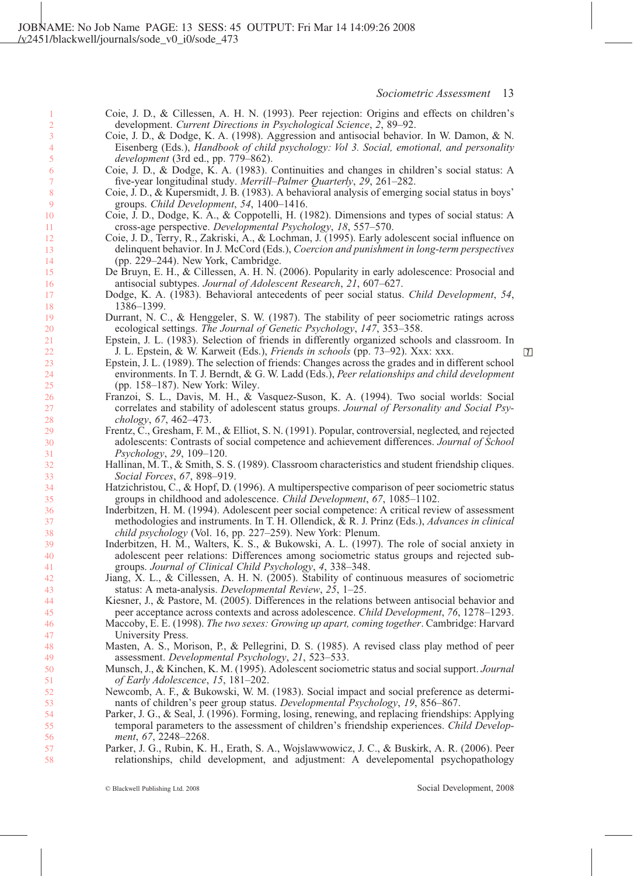#### *Sociometric Assessment* 13

- Coie, J. D., & Cillessen, A. H. N. (1993). Peer rejection: Origins and effects on children's development. *Current Directions in Psychological Science*, *2*, 89–92.
- Coie, J. D., & Dodge, K. A. (1998). Aggression and antisocial behavior. In W. Damon, & N. Eisenberg (Eds.), *Handbook of child psychology: Vol 3. Social, emotional, and personality development* (3rd ed., pp. 779–862).
- Coie, J. D., & Dodge, K. A. (1983). Continuities and changes in children's social status: A five-year longitudinal study. *Merrill–Palmer Quarterly*, *29*, 261–282.
- Coie, J. D., & Kupersmidt, J. B. (1983). A behavioral analysis of emerging social status in boys' groups. *Child Development*, *54*, 1400–1416.
- Coie, J. D., Dodge, K. A., & Coppotelli, H. (1982). Dimensions and types of social status: A cross-age perspective. *Developmental Psychology*, *18*, 557–570.
- Coie, J. D., Terry, R., Zakriski, A., & Lochman, J. (1995). Early adolescent social influence on delinquent behavior. In J. McCord (Eds.), *Coercion and punishment in long-term perspectives* (pp. 229–244). New York, Cambridge.
- De Bruyn, E. H., & Cillessen, A. H. N. (2006). Popularity in early adolescence: Prosocial and antisocial subtypes. *Journal of Adolescent Research*, *21*, 607–627.
- Dodge, K. A. (1983). Behavioral antecedents of peer social status. *Child Development*, *54*, 1386–1399.
- Durrant, N. C., & Henggeler, S. W. (1987). The stability of peer sociometric ratings across ecological settings. *The Journal of Genetic Psychology*, *147*, 353–358.
- Epstein, J. L. (1983). Selection of friends in differently organized schools and classroom. In J. L. Epstein, & W. Karweit (Eds.), *Friends in schools* (pp. 73–92). Xxx: xxx.
- Epstein, J. L. (1989). The selection of friends: Changes across the grades and in different school environments. In T. J. Berndt, & G. W. Ladd (Eds.), *Peer relationships and child development* (pp. 158–187). New York: Wiley.
- Franzoi, S. L., Davis, M. H., & Vasquez-Suson, K. A. (1994). Two social worlds: Social correlates and stability of adolescent status groups. *Journal of Personality and Social Psychology*, *67*, 462–473.
- Frentz, C., Gresham, F. M., & Elliot, S. N. (1991). Popular, controversial, neglected, and rejected adolescents: Contrasts of social competence and achievement differences. *Journal of School Psychology*, *29*, 109–120.
- Hallinan, M. T., & Smith, S. S. (1989). Classroom characteristics and student friendship cliques. *Social Forces*, *67*, 898–919.
- Hatzichristou, C., & Hopf, D. (1996). A multiperspective comparison of peer sociometric status groups in childhood and adolescence. *Child Development*, *67*, 1085–1102.
- Inderbitzen, H. M. (1994). Adolescent peer social competence: A critical review of assessment methodologies and instruments. In T. H. Ollendick, & R. J. Prinz (Eds.), *Advances in clinical child psychology* (Vol. 16, pp. 227–259). New York: Plenum.
- Inderbitzen, H. M., Walters, K. S., & Bukowski, A. L. (1997). The role of social anxiety in adolescent peer relations: Differences among sociometric status groups and rejected subgroups. *Journal of Clinical Child Psychology*, *4*, 338–348.
- Jiang, X. L., & Cillessen, A. H. N. (2005). Stability of continuous measures of sociometric status: A meta-analysis. *Developmental Review*, *25*, 1–25.
- Kiesner, J., & Pastore, M. (2005). Differences in the relations between antisocial behavior and peer acceptance across contexts and across adolescence. *Child Development*, *76*, 1278–1293.
- Maccoby, E. E. (1998). *The two sexes: Growing up apart, coming together*. Cambridge: Harvard University Press.
- Masten, A. S., Morison, P., & Pellegrini, D. S. (1985). A revised class play method of peer assessment. *Developmental Psychology*, *21*, 523–533.
- Munsch, J., & Kinchen, K. M. (1995). Adolescent sociometric status and social support. *Journal of Early Adolescence*, *15*, 181–202.
- Newcomb, A. F., & Bukowski, W. M. (1983). Social impact and social preference as determinants of children's peer group status. *Developmental Psychology*, *19*, 856–867.
- Parker, J. G., & Seal, J. (1996). Forming, losing, renewing, and replacing friendships: Applying temporal parameters to the assessment of children's friendship experiences. *Child Development*, *67*, 2248–2268.
- Parker, J. G., Rubin, K. H., Erath, S. A., Wojslawwowicz, J. C., & Buskirk, A. R. (2006). Peer relationships, child development, and adjustment: A develepomental psychopathology

7**7**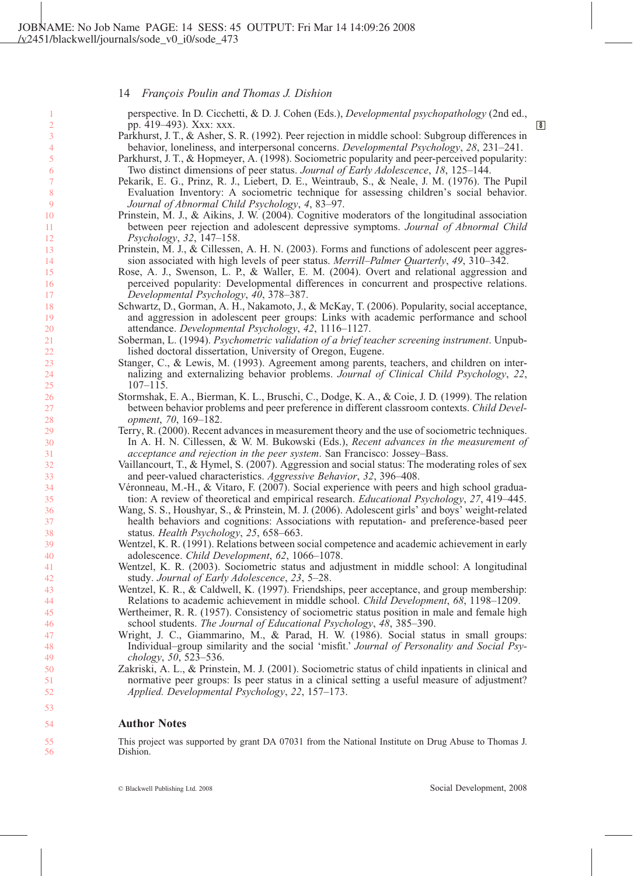perspective. In D. Cicchetti, & D. J. Cohen (Eds.), *Developmental psychopathology* (2nd ed., pp. 419–493). Xxx: xxx.

8**8**

| Parkhurst, J. T., & Asher, S. R. (1992). Peer rejection in middle school: Subgroup differences in |
|---------------------------------------------------------------------------------------------------|
| behavior, loneliness, and interpersonal concerns. Developmental Psychology, 28, 231–241.          |
| Parkhurst, J. T., & Hopmeyer, A. (1998). Sociometric popularity and peer-perceived popularity:    |
| Two distinct dimensions of peer status. Journal of Early Adolescence, 18, 125–144.                |

- Pekarik, E. G., Prinz, R. J., Liebert, D. E., Weintraub, S., & Neale, J. M. (1976). The Pupil Evaluation Inventory: A sociometric technique for assessing children's social behavior. *Journal of Abnormal Child Psychology*, *4*, 83–97.
- Prinstein, M. J., & Aikins, J. W. (2004). Cognitive moderators of the longitudinal association between peer rejection and adolescent depressive symptoms. *Journal of Abnormal Child Psychology*, *32*, 147–158.
- Prinstein, M. J., & Cillessen, A. H. N. (2003). Forms and functions of adolescent peer aggression associated with high levels of peer status. *Merrill–Palmer Quarterly*, *49*, 310–342.
- Rose, A. J., Swenson, L. P., & Waller, E. M. (2004). Overt and relational aggression and perceived popularity: Developmental differences in concurrent and prospective relations. *Developmental Psychology*, *40*, 378–387.
- Schwartz, D., Gorman, A. H., Nakamoto, J., & McKay, T. (2006). Popularity, social acceptance, and aggression in adolescent peer groups: Links with academic performance and school attendance. *Developmental Psychology*, *42*, 1116–1127.
- Soberman, L. (1994). *Psychometric validation of a brief teacher screening instrument*. Unpublished doctoral dissertation, University of Oregon, Eugene.
- Stanger, C., & Lewis, M. (1993). Agreement among parents, teachers, and children on internalizing and externalizing behavior problems. *Journal of Clinical Child Psychology*, *22*, 107–115.
- Stormshak, E. A., Bierman, K. L., Bruschi, C., Dodge, K. A., & Coie, J. D. (1999). The relation between behavior problems and peer preference in different classroom contexts. *Child Development*, *70*, 169–182.
- Terry, R. (2000). Recent advances in measurement theory and the use of sociometric techniques. In A. H. N. Cillessen, & W. M. Bukowski (Eds.), *Recent advances in the measurement of acceptance and rejection in the peer system*. San Francisco: Jossey–Bass.
- Vaillancourt, T., & Hymel, S. (2007). Aggression and social status: The moderating roles of sex and peer-valued characteristics. *Aggressive Behavior*, *32*, 396–408.
- Véronneau, M.-H., & Vitaro, F. (2007). Social experience with peers and high school graduation: A review of theoretical and empirical research. *Educational Psychology*, *27*, 419–445.
- Wang, S. S., Houshyar, S., & Prinstein, M. J. (2006). Adolescent girls' and boys' weight-related health behaviors and cognitions: Associations with reputation- and preference-based peer status. *Health Psychology*, *25*, 658–663.
- Wentzel, K. R. (1991). Relations between social competence and academic achievement in early adolescence. *Child Development*, *62*, 1066–1078.
- Wentzel, K. R. (2003). Sociometric status and adjustment in middle school: A longitudinal study. *Journal of Early Adolescence*, *23*, 5–28.
- Wentzel, K. R., & Caldwell, K. (1997). Friendships, peer acceptance, and group membership: Relations to academic achievement in middle school. *Child Development*, *68*, 1198–1209.
- Wertheimer, R. R. (1957). Consistency of sociometric status position in male and female high school students. *The Journal of Educational Psychology*, *48*, 385–390.
- Wright, J. C., Giammarino, M., & Parad, H. W. (1986). Social status in small groups: Individual–group similarity and the social 'misfit.' *Journal of Personality and Social Psychology*, *50*, 523–536.
- Zakriski, A. L., & Prinstein, M. J. (2001). Sociometric status of child inpatients in clinical and normative peer groups: Is peer status in a clinical setting a useful measure of adjustment? *Applied. Developmental Psychology*, *22*, 157–173.

#### **Author Notes**

This project was supported by grant DA 07031 from the National Institute on Drug Abuse to Thomas J. Dishion.